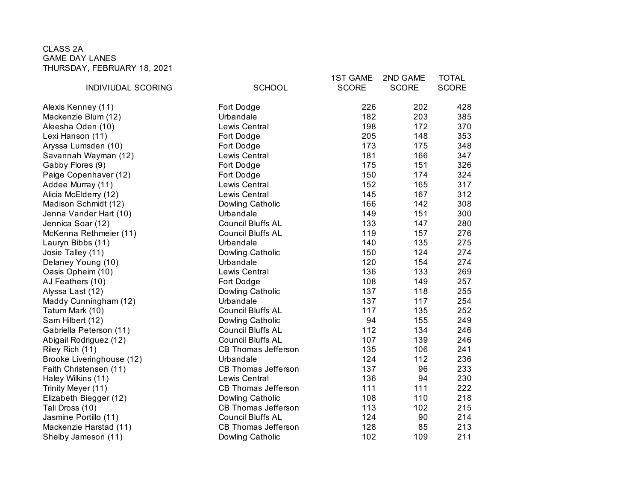## CLASS 2A GAME DAY LANES THURSDAY, FEBRUARY 18, 2021

|                           |                            | <b>1ST GAME</b> | 2ND GAME     | <b>TOTAL</b> |
|---------------------------|----------------------------|-----------------|--------------|--------------|
| INDIVIUDAL SCORING        | <b>SCHOOL</b>              | <b>SCORE</b>    | <b>SCORE</b> | <b>SCORE</b> |
| Alexis Kenney (11)        | Fort Dodge                 | 226             | 202          | 428          |
| Mackenzie Blum (12)       | Urbandale                  | 182             | 203          | 385          |
| Aleesha Oden (10)         | Lewis Central              | 198             | 172          | 370          |
| Lexi Hanson (11)          | Fort Dodge                 | 205             | 148          | 353          |
| Aryssa Lumsden (10)       | Fort Dodge                 | 173             | 175          | 348          |
| Savannah Wayman (12)      | Lewis Central              | 181             | 166          | 347          |
| Gabby Flores (9)          | Fort Dodge                 | 175             | 151          | 326          |
| Paige Copenhaver (12)     | Fort Dodge                 | 150             | 174          | 324          |
| Addee Murray (11)         | Lewis Central              | 152             | 165          | 317          |
| Alicia McElderry (12)     | Lewis Central              | 145             | 167          | 312          |
| Madison Schmidt (12)      | Dowling Catholic           | 166             | 142          | 308          |
| Jenna Vander Hart (10)    | Urbandale                  | 149             | 151          | 300          |
| Jennica Soar (12)         | <b>Council Bluffs AL</b>   | 133             | 147          | 280          |
| McKenna Rethmeier (11)    | <b>Council Bluffs AL</b>   | 119             | 157          | 276          |
| Lauryn Bibbs (11)         | Urbandale                  | 140             | 135          | 275          |
| Josie Talley (11)         | Dowling Catholic           | 150             | 124          | 274          |
| Delaney Young (10)        | Urbandale                  | 120             | 154          | 274          |
| Oasis Opheim (10)         | Lewis Central              | 136             | 133          | 269          |
| AJ Feathers (10)          | Fort Dodge                 | 108             | 149          | 257          |
| Alyssa Last (12)          | Dowling Catholic           | 137             | 118          | 255          |
| Maddy Cunningham (12)     | Urbandale                  | 137             | 117          | 254          |
| Tatum Mark (10)           | <b>Council Bluffs AL</b>   | 117             | 135          | 252          |
| Sam Hilbert (12)          | Dowling Catholic           | 94              | 155          | 249          |
| Gabriella Peterson (11)   | <b>Council Bluffs AL</b>   | 112             | 134          | 246          |
| Abigail Rodriguez (12)    | <b>Council Bluffs AL</b>   | 107             | 139          | 246          |
| Riley Rich (11)           | CB Thomas Jefferson        | 135             | 106          | 241          |
| Brooke Liveringhouse (12) | Urbandale                  | 124             | 112          | 236          |
| Faith Christensen (11)    | CB Thomas Jefferson        | 137             | 96           | 233          |
| Haley Wilkins (11)        | Lewis Central              | 136             | 94           | 230          |
| Trinity Meyer (11)        | <b>CB Thomas Jefferson</b> | 111             | 111          | 222          |
| Elizabeth Biegger (12)    | Dowling Catholic           | 108             | 110          | 218          |
| Tali Dross (10)           | CB Thomas Jefferson        | 113             | 102          | 215          |
| Jasmine Portillo (11)     | <b>Council Bluffs AL</b>   | 124             | 90           | 214          |
| Mackenzie Harstad (11)    | <b>CB Thomas Jefferson</b> | 128             | 85           | 213          |
| Shelby Jameson (11)       | Dowling Catholic           | 102             | 109          | 211          |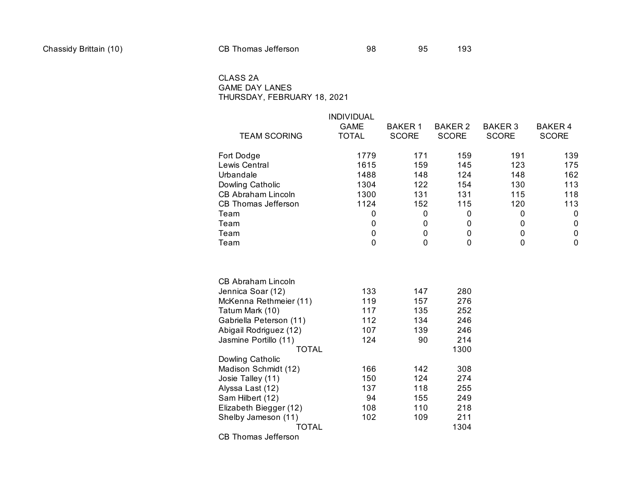## CLASS 2A GAME DAY LANES THURSDAY, FEBRUARY 18, 2021

| <b>TEAM SCORING</b>        | <b>INDIVIDUAL</b><br><b>GAME</b><br>TOTAL | <b>BAKER1</b><br><b>SCORE</b> | <b>BAKER 2</b><br><b>SCORE</b> | <b>BAKER 3</b><br><b>SCORE</b> | <b>BAKER4</b><br><b>SCORE</b> |
|----------------------------|-------------------------------------------|-------------------------------|--------------------------------|--------------------------------|-------------------------------|
| Fort Dodge                 | 1779                                      | 171                           | 159                            | 191                            | 139                           |
| Lewis Central              | 1615                                      | 159                           | 145                            | 123                            | 175                           |
| Urbandale                  | 1488                                      | 148                           | 124                            | 148                            | 162                           |
| Dowling Catholic           | 1304                                      | 122                           | 154                            | 130                            | 113                           |
| <b>CB Abraham Lincoln</b>  | 1300                                      | 131                           | 131                            | 115                            | 118                           |
| <b>CB Thomas Jefferson</b> | 1124                                      | 152                           | 115                            | 120                            | 113                           |
| Team                       | 0                                         | $\pmb{0}$                     | 0                              | 0                              | $\mathbf 0$                   |
| Team                       | 0                                         | $\boldsymbol{0}$              | 0                              | 0                              | $\mathbf 0$                   |
| Team                       | 0                                         | 0                             | $\mathbf 0$                    | 0                              | $\mathbf 0$                   |
| Team                       | $\mathbf 0$                               | $\Omega$                      | $\overline{0}$                 | 0                              | $\mathbf 0$                   |
| <b>CB Abraham Lincoln</b>  |                                           |                               |                                |                                |                               |
| Jennica Soar (12)          | 133                                       | 147                           | 280                            |                                |                               |
| McKenna Rethmeier (11)     | 119                                       | 157                           | 276                            |                                |                               |
| Tatum Mark (10)            | 117                                       | 135                           | 252                            |                                |                               |
| Gabriella Peterson (11)    | 112                                       | 134                           | 246                            |                                |                               |
| Abigail Rodriguez (12)     | 107                                       | 139                           | 246                            |                                |                               |
| Jasmine Portillo (11)      | 124                                       | 90                            | 214                            |                                |                               |
| TOTAL                      |                                           |                               | 1300                           |                                |                               |
| Dowling Catholic           |                                           |                               |                                |                                |                               |
| Madison Schmidt (12)       | 166                                       | 142                           | 308                            |                                |                               |
| Josie Talley (11)          | 150                                       | 124                           | 274                            |                                |                               |
| Alyssa Last (12)           | 137                                       | 118                           | 255                            |                                |                               |
| Sam Hilbert (12)           | 94                                        | 155                           | 249                            |                                |                               |
| Elizabeth Biegger (12)     | 108                                       | 110                           | 218                            |                                |                               |
| Shelby Jameson (11)        | 102                                       | 109                           | 211                            |                                |                               |
| <b>TOTAL</b>               |                                           |                               | 1304                           |                                |                               |

CB Thomas Jefferson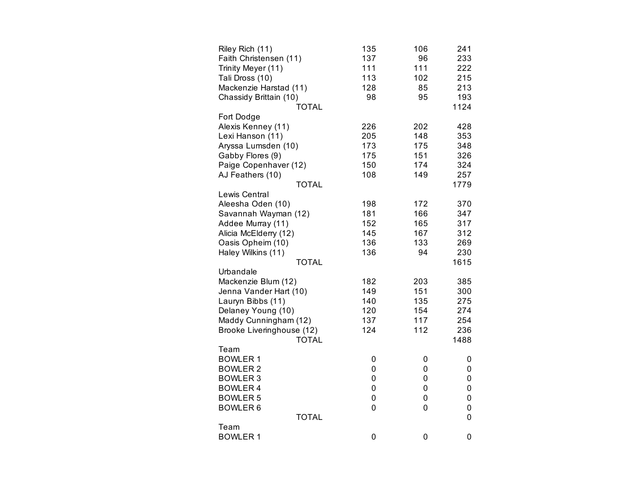| Riley Rich (11)           | 135       | 106         | 241         |
|---------------------------|-----------|-------------|-------------|
| Faith Christensen (11)    | 137       | 96          | 233         |
| Trinity Meyer (11)        | 111       | 111         | 222         |
| Tali Dross (10)           | 113       | 102         | 215         |
| Mackenzie Harstad (11)    | 128       | 85          | 213         |
| Chassidy Brittain (10)    | 98        | 95          | 193         |
| <b>TOTAL</b>              |           |             | 1124        |
| Fort Dodge                |           |             |             |
| Alexis Kenney (11)        | 226       | 202         | 428         |
| Lexi Hanson (11)          | 205       | 148         | 353         |
| Aryssa Lumsden (10)       | 173       | 175         | 348         |
| Gabby Flores (9)          | 175       | 151         | 326         |
| Paige Copenhaver (12)     | 150       | 174         | 324         |
| AJ Feathers (10)          | 108       | 149         | 257         |
| <b>TOTAL</b>              |           |             | 1779        |
| Lewis Central             |           |             |             |
| Aleesha Oden (10)         | 198       | 172         | 370         |
| Savannah Wayman (12)      | 181       | 166         | 347         |
| Addee Murray (11)         | 152       | 165         | 317         |
| Alicia McElderry (12)     | 145       | 167         | 312         |
| Oasis Opheim (10)         | 136       | 133         | 269         |
| Haley Wilkins (11)        | 136       | 94          | 230         |
| <b>TOTAL</b>              |           |             | 1615        |
| Urbandale                 |           |             |             |
| Mackenzie Blum (12)       | 182       | 203         | 385         |
| Jenna Vander Hart (10)    | 149       | 151         | 300         |
| Lauryn Bibbs (11)         | 140       | 135         | 275         |
| Delaney Young (10)        | 120       | 154         | 274         |
| Maddy Cunningham (12)     | 137       | 117         | 254         |
| Brooke Liveringhouse (12) | 124       | 112         | 236         |
| <b>TOTAL</b>              |           |             | 1488        |
| Team                      |           |             |             |
| <b>BOWLER 1</b>           | 0         | 0           | 0           |
| <b>BOWLER 2</b>           | 0         | 0           | 0           |
| <b>BOWLER 3</b>           | 0         | 0           | 0           |
| <b>BOWLER4</b>            | 0         | $\mathbf 0$ | 0           |
| <b>BOWLER 5</b>           | $\pmb{0}$ | 0           | 0           |
| <b>BOWLER6</b>            | 0         | 0           | $\mathbf 0$ |
| <b>TOTAL</b>              |           |             | $\mathbf 0$ |
| Team                      |           |             |             |
| <b>BOWLER 1</b>           | 0         | 0           | $\mathbf 0$ |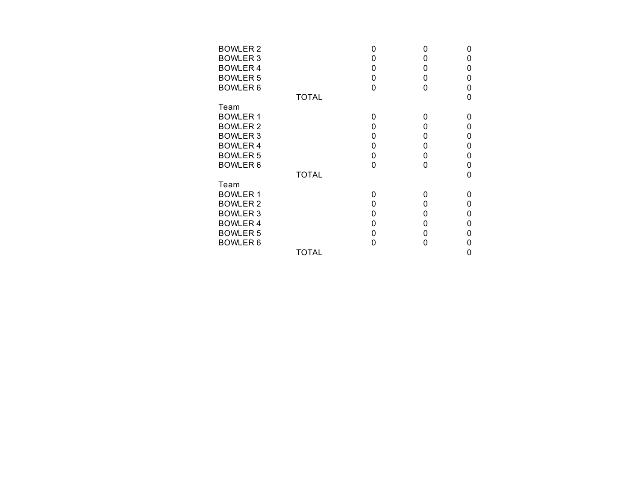| <b>BOWLER 2</b> |              | O | O | n |
|-----------------|--------------|---|---|---|
| <b>BOWLER 3</b> |              | 0 | 0 | 0 |
| <b>BOWLER4</b>  |              | 0 | 0 | 0 |
| <b>BOWLER 5</b> |              | 0 | 0 | 0 |
| <b>BOWLER 6</b> |              | 0 | 0 | 0 |
|                 | <b>TOTAL</b> |   |   | O |
| Team            |              |   |   |   |
| <b>BOWLER1</b>  |              | 0 | 0 | n |
| <b>BOWLER 2</b> |              | 0 | 0 | 0 |
| <b>BOWLER 3</b> |              | 0 | 0 | 0 |
| <b>BOWLER4</b>  |              | 0 | 0 | 0 |
| <b>BOWLER 5</b> |              | 0 | 0 | 0 |
| <b>BOWLER 6</b> |              | 0 | 0 | 0 |
|                 | <b>TOTAL</b> |   |   | 0 |
| Team            |              |   |   |   |
| <b>BOWLER1</b>  |              | O | 0 | O |
| <b>BOWLER 2</b> |              | 0 | 0 | 0 |
| <b>BOWLER 3</b> |              | 0 | 0 | 0 |
| <b>BOWLER 4</b> |              | 0 | 0 | 0 |
| <b>BOWLER 5</b> |              | 0 | 0 | 0 |
| <b>BOWLER 6</b> |              | O | O |   |
|                 | <b>TOTAL</b> |   |   | 0 |